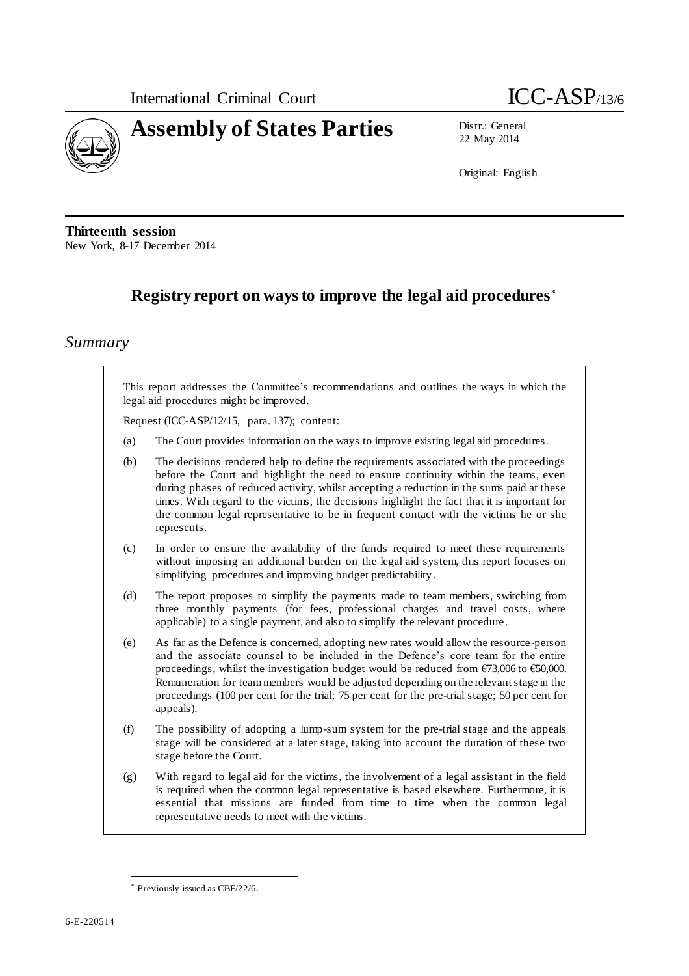

22 May 2014

Original: English

**Thirteenth session** New York, 8-17 December 2014

# **Registry report on ways to improve the legal aid procedures**

## *Summary*

This report addresses the Committee's recommendations and outlines the ways in which the legal aid procedures might be improved.

Request (ICC-ASP/12/15, para. 137); content:

- (a) The Court provides information on the ways to improve existing legal aid procedures.
- (b) The decisions rendered help to define the requirements associated with the proceedings before the Court and highlight the need to ensure continuity within the teams, even during phases of reduced activity, whilst accepting a reduction in the sums paid at these times. With regard to the victims, the decisions highlight the fact that it is important for the common legal representative to be in frequent contact with the victims he or she represents.
- (c) In order to ensure the availability of the funds required to meet these requirements without imposing an additional burden on the legal aid system, this report focuses on simplifying procedures and improving budget predictability.
- (d) The report proposes to simplify the payments made to team members, switching from three monthly payments (for fees, professional charges and travel costs, where applicable) to a single payment, and also to simplify the relevant procedure.
- (e) As far as the Defence is concerned, adopting new rates would allow the resource-person and the associate counsel to be included in the Defence's core team for the entire proceedings, whilst the investigation budget would be reduced from €73,006 to €50,000. Remuneration for team members would be adjusted depending on the relevant stage in the proceedings (100 per cent for the trial; 75 per cent for the pre-trial stage; 50 per cent for appeals).
- (f) The possibility of adopting a lump-sum system for the pre-trial stage and the appeals stage will be considered at a later stage, taking into account the duration of these two stage before the Court.
- (g) With regard to legal aid for the victims, the involvement of a legal assistant in the field is required when the common legal representative is based elsewhere. Furthermore, it is essential that missions are funded from time to time when the common legal representative needs to meet with the victims.

 $\overline{a}$ 

Previously issued as CBF/22/6.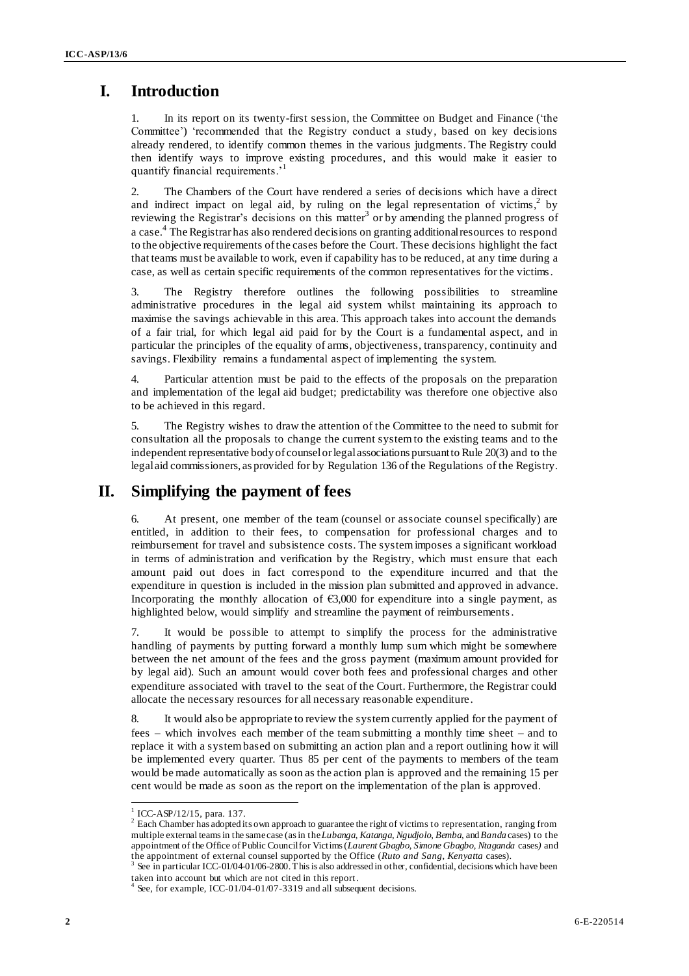### **I. Introduction**

1. In its report on its twenty-first session, the Committee on Budget and Finance ('the Committee') 'recommended that the Registry conduct a study, based on key decisions already rendered, to identify common themes in the various judgments. The Registry could then identify ways to improve existing procedures, and this would make it easier to quantify financial requirements.'<sup>1</sup>

2. The Chambers of the Court have rendered a series of decisions which have a direct and indirect impact on legal aid, by ruling on the legal representation of victims,  $2$  by reviewing the Registrar's decisions on this matter<sup>3</sup> or by amending the planned progress of a case. 4 The Registrar has also rendered decisions on granting additional resources to respond to the objective requirements of the cases before the Court. These decisions highlight the fact that teams must be available to work, even if capability has to be reduced, at any time during a case, as well as certain specific requirements of the common representatives for the victims.

3. The Registry therefore outlines the following possibilities to streamline administrative procedures in the legal aid system whilst maintaining its approach to maximise the savings achievable in this area. This approach takes into account the demands of a fair trial, for which legal aid paid for by the Court is a fundamental aspect, and in particular the principles of the equality of arms, objectiveness, transparency, continuity and savings. Flexibility remains a fundamental aspect of implementing the system.

4. Particular attention must be paid to the effects of the proposals on the preparation and implementation of the legal aid budget; predictability was therefore one objective also to be achieved in this regard.

5. The Registry wishes to draw the attention of the Committee to the need to submit for consultation all the proposals to change the current system to the existing teams and to the independent representative body of counsel or legal associations pursuant to Rule 20(3) and to the legal aid commissioners, as provided for by Regulation 136 of the Regulations of the Registry.

#### **II. Simplifying the payment of fees**

6. At present, one member of the team (counsel or associate counsel specifically) are entitled, in addition to their fees, to compensation for professional charges and to reimbursement for travel and subsistence costs. The system imposes a significant workload in terms of administration and verification by the Registry, which must ensure that each amount paid out does in fact correspond to the expenditure incurred and that the expenditure in question is included in the mission plan submitted and approved in advance. Incorporating the monthly allocation of  $\epsilon$ 3,000 for expenditure into a single payment, as highlighted below, would simplify and streamline the payment of reimbursements.

7. It would be possible to attempt to simplify the process for the administrative handling of payments by putting forward a monthly lump sum which might be somewhere between the net amount of the fees and the gross payment (maximum amount provided for by legal aid). Such an amount would cover both fees and professional charges and other expenditure associated with travel to the seat of the Court. Furthermore, the Registrar could allocate the necessary resources for all necessary reasonable expenditure.

8. It would also be appropriate to review the system currently applied for the payment of fees – which involves each member of the team submitting a monthly time sheet – and to replace it with a system based on submitting an action plan and a report outlining how it will be implemented every quarter. Thus 85 per cent of the payments to members of the team would be made automatically as soon as the action plan is approved and the remaining 15 per cent would be made as soon as the report on the implementation of the plan is approved.

<sup>&</sup>lt;sup>1</sup> ICC-ASP/12/15, para. 137.

<sup>&</sup>lt;sup>2</sup> Each Chamber has adopted its own approach to guarantee the right of victims to representation, ranging from multiple external teams in the same case (as in the *Lubanga*, *Katanga*, *Ngudjolo*, *Bemba*, and *Banda* cases) to the appointment of the Office of Public Council for Victims (*Laurent Gbagbo*, *Simone Gbagbo*, *Ntaganda* cases*)* and the appointment of external counsel supported by the Office (*Ruto and Sang*, *Kenyatta* cases).

<sup>&</sup>lt;sup>3</sup> See in particular ICC-01/04-01/06-2800. This is also addressed in other, confidential, decisions which have been

taken into account but which are not cited in this report. 4 See, for example, ICC-01/04-01/07-3319 and all subsequent decisions.